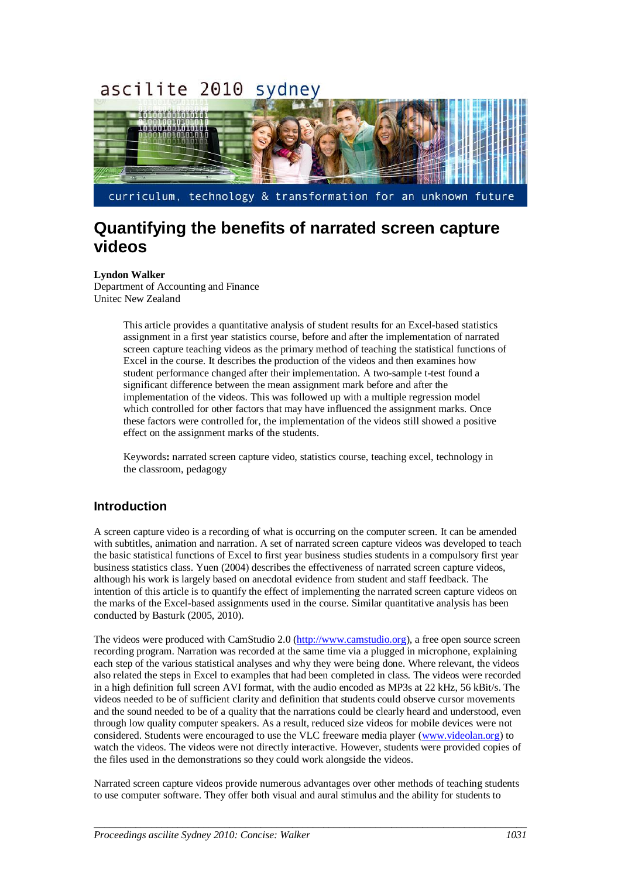#### ascilite 2010 sydne<sup>'</sup>



# **Quantifying the benefits of narrated screen capture videos**

#### **Lyndon Walker**

Department of Accounting and Finance Unitec New Zealand

> This article provides a quantitative analysis of student results for an Excel-based statistics assignment in a first year statistics course, before and after the implementation of narrated screen capture teaching videos as the primary method of teaching the statistical functions of Excel in the course. It describes the production of the videos and then examines how student performance changed after their implementation. A two-sample t-test found a significant difference between the mean assignment mark before and after the implementation of the videos. This was followed up with a multiple regression model which controlled for other factors that may have influenced the assignment marks. Once these factors were controlled for, the implementation of the videos still showed a positive effect on the assignment marks of the students.

Keywords**:** narrated screen capture video, statistics course, teaching excel, technology in the classroom, pedagogy

## **Introduction**

A screen capture video is a recording of what is occurring on the computer screen. It can be amended with subtitles, animation and narration. A set of narrated screen capture videos was developed to teach the basic statistical functions of Excel to first year business studies students in a compulsory first year business statistics class. Yuen (2004) describes the effectiveness of narrated screen capture videos, although his work is largely based on anecdotal evidence from student and staff feedback. The intention of this article is to quantify the effect of implementing the narrated screen capture videos on the marks of the Excel-based assignments used in the course. Similar quantitative analysis has been conducted by Basturk (2005, 2010).

The videos were produced with CamStudio 2.0 [\(http://www.camstudio.org\)](http://www.camstudio.org/), a free open source screen recording program. Narration was recorded at the same time via a plugged in microphone, explaining each step of the various statistical analyses and why they were being done. Where relevant, the videos also related the steps in Excel to examples that had been completed in class. The videos were recorded in a high definition full screen AVI format, with the audio encoded as MP3s at 22 kHz, 56 kBit/s. The videos needed to be of sufficient clarity and definition that students could observe cursor movements and the sound needed to be of a quality that the narrations could be clearly heard and understood, even through low quality computer speakers. As a result, reduced size videos for mobile devices were not considered. Students were encouraged to use the VLC freeware media player [\(www.videolan.org\)](http://www.videolan.org/) to watch the videos. The videos were not directly interactive. However, students were provided copies of the files used in the demonstrations so they could work alongside the videos.

Narrated screen capture videos provide numerous advantages over other methods of teaching students to use computer software. They offer both visual and aural stimulus and the ability for students to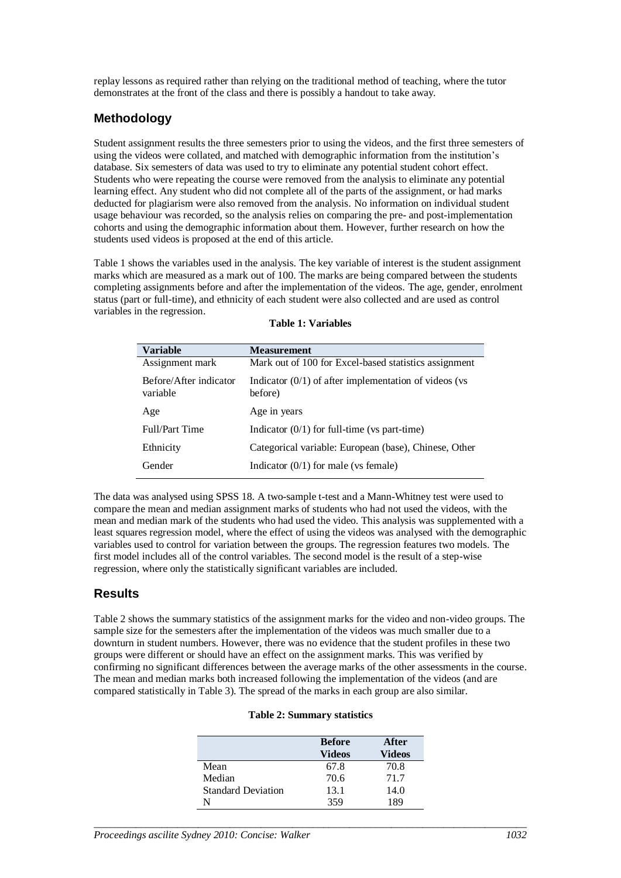replay lessons as required rather than relying on the traditional method of teaching, where the tutor demonstrates at the front of the class and there is possibly a handout to take away.

### **Methodology**

Student assignment results the three semesters prior to using the videos, and the first three semesters of using the videos were collated, and matched with demographic information from the institution's database. Six semesters of data was used to try to eliminate any potential student cohort effect. Students who were repeating the course were removed from the analysis to eliminate any potential learning effect. Any student who did not complete all of the parts of the assignment, or had marks deducted for plagiarism were also removed from the analysis. No information on individual student usage behaviour was recorded, so the analysis relies on comparing the pre- and post-implementation cohorts and using the demographic information about them. However, further research on how the students used videos is proposed at the end of this article.

Table 1 shows the variables used in the analysis. The key variable of interest is the student assignment marks which are measured as a mark out of 100. The marks are being compared between the students completing assignments before and after the implementation of the videos. The age, gender, enrolment status (part or full-time), and ethnicity of each student were also collected and are used as control variables in the regression.

| Variable                           | <b>Measurement</b>                                                 |
|------------------------------------|--------------------------------------------------------------------|
| Assignment mark                    | Mark out of 100 for Excel-based statistics assignment              |
| Before/After indicator<br>variable | Indicator $(0/1)$ of after implementation of videos (vs<br>before) |
| Age                                | Age in years                                                       |
| <b>Full/Part Time</b>              | Indicator $(0/1)$ for full-time (vs part-time)                     |
| Ethnicity                          | Categorical variable: European (base), Chinese, Other              |
| Gender                             | Indicator $(0/1)$ for male (vs female)                             |

#### **Table 1: Variables**

The data was analysed using SPSS 18. A two-sample t-test and a Mann-Whitney test were used to compare the mean and median assignment marks of students who had not used the videos, with the mean and median mark of the students who had used the video. This analysis was supplemented with a least squares regression model, where the effect of using the videos was analysed with the demographic variables used to control for variation between the groups. The regression features two models. The first model includes all of the control variables. The second model is the result of a step-wise regression, where only the statistically significant variables are included.

### **Results**

Table 2 shows the summary statistics of the assignment marks for the video and non-video groups. The sample size for the semesters after the implementation of the videos was much smaller due to a downturn in student numbers. However, there was no evidence that the student profiles in these two groups were different or should have an effect on the assignment marks. This was verified by confirming no significant differences between the average marks of the other assessments in the course. The mean and median marks both increased following the implementation of the videos (and are compared statistically in Table 3). The spread of the marks in each group are also similar.

#### **Table 2: Summary statistics**

|                           | <b>Before</b><br><b>Videos</b> | After<br>Videos |
|---------------------------|--------------------------------|-----------------|
| Mean                      | 67.8                           | 70.8            |
| Median                    | 70.6                           | 71.7            |
| <b>Standard Deviation</b> | 13.1                           | 14.0            |
|                           | 359                            | 189             |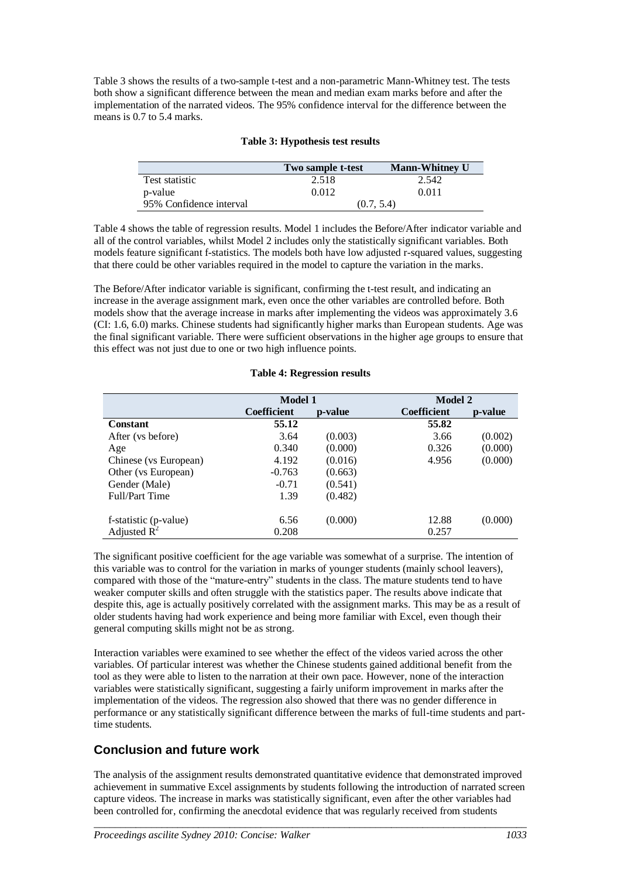Table 3 shows the results of a two-sample t-test and a non-parametric Mann-Whitney test. The tests both show a significant difference between the mean and median exam marks before and after the implementation of the narrated videos. The 95% confidence interval for the difference between the means is 0.7 to 5.4 marks.

|                         | Two sample t-test | <b>Mann-Whitney U</b> |  |
|-------------------------|-------------------|-----------------------|--|
| Test statistic          | 2.518             | 2.542                 |  |
| p-value                 | 0.012             | 0.011                 |  |
| 95% Confidence interval |                   | (0.7, 5.4)            |  |

#### **Table 3: Hypothesis test results**

Table 4 shows the table of regression results. Model 1 includes the Before/After indicator variable and all of the control variables, whilst Model 2 includes only the statistically significant variables. Both models feature significant f-statistics. The models both have low adjusted r-squared values, suggesting that there could be other variables required in the model to capture the variation in the marks.

The Before/After indicator variable is significant, confirming the t-test result, and indicating an increase in the average assignment mark, even once the other variables are controlled before. Both models show that the average increase in marks after implementing the videos was approximately 3.6 (CI: 1.6, 6.0) marks. Chinese students had significantly higher marks than European students. Age was the final significant variable. There were sufficient observations in the higher age groups to ensure that this effect was not just due to one or two high influence points.

### **Table 4: Regression results**

|                       | <b>Model 1</b>     |         | <b>Model 2</b>     |         |
|-----------------------|--------------------|---------|--------------------|---------|
|                       | <b>Coefficient</b> | p-value | <b>Coefficient</b> | p-value |
| <b>Constant</b>       | 55.12              |         | 55.82              |         |
| After (vs before)     | 3.64               | (0.003) | 3.66               | (0.002) |
| Age                   | 0.340              | (0.000) | 0.326              | (0.000) |
| Chinese (vs European) | 4.192              | (0.016) | 4.956              | (0.000) |
| Other (vs European)   | $-0.763$           | (0.663) |                    |         |
| Gender (Male)         | $-0.71$            | (0.541) |                    |         |
| Full/Part Time        | 1.39               | (0.482) |                    |         |
| f-statistic (p-value) | 6.56               | (0.000) | 12.88              | (0.000) |
| Adjusted $R^2$        | 0.208              |         | 0.257              |         |

The significant positive coefficient for the age variable was somewhat of a surprise. The intention of this variable was to control for the variation in marks of younger students (mainly school leavers), compared with those of the "mature-entry" students in the class. The mature students tend to have weaker computer skills and often struggle with the statistics paper. The results above indicate that despite this, age is actually positively correlated with the assignment marks. This may be as a result of older students having had work experience and being more familiar with Excel, even though their general computing skills might not be as strong.

Interaction variables were examined to see whether the effect of the videos varied across the other variables. Of particular interest was whether the Chinese students gained additional benefit from the tool as they were able to listen to the narration at their own pace. However, none of the interaction variables were statistically significant, suggesting a fairly uniform improvement in marks after the implementation of the videos. The regression also showed that there was no gender difference in performance or any statistically significant difference between the marks of full-time students and parttime students.

## **Conclusion and future work**

The analysis of the assignment results demonstrated quantitative evidence that demonstrated improved achievement in summative Excel assignments by students following the introduction of narrated screen capture videos. The increase in marks was statistically significant, even after the other variables had been controlled for, confirming the anecdotal evidence that was regularly received from students